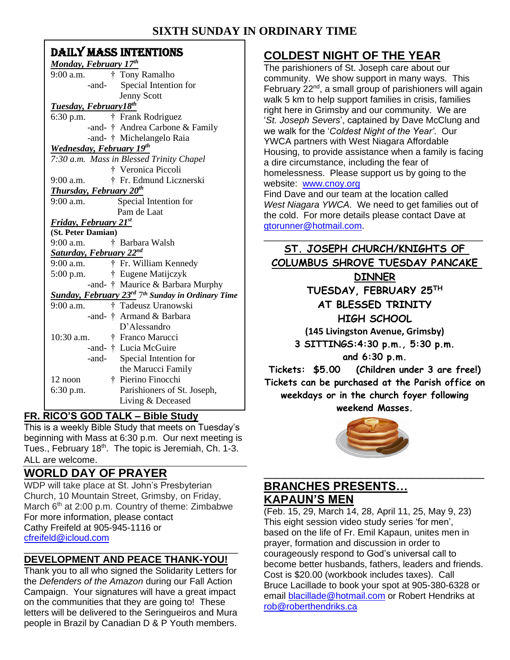## **SIXTH SUNDARY TIME**

| SIXTH SUNDAY                                                              |
|---------------------------------------------------------------------------|
| <b>DAILY MASS INTENTIONS</b>                                              |
| Monday, February 17th                                                     |
| † Tony Ramalho<br>$9:00$ a.m.                                             |
| Special Intention for<br>-and-                                            |
| Jenny Scott                                                               |
| <b>Tuesday, February18th</b>                                              |
| † Frank Rodriguez<br>6:30 p.m.                                            |
| -and- † Andrea Carbone & Family                                           |
| -and- † Michelangelo Raia                                                 |
| <b>Wednesday, February 19th</b>                                           |
| 7:30 a.m. Mass in Blessed Trinity Chapel                                  |
| † Veronica Piccoli                                                        |
| † Fr. Edmund Licznerski<br>9:00 a.m.                                      |
| <b>Thursday, February 20th</b>                                            |
| Special Intention for<br>9:00 a.m.                                        |
| Pam de Laat                                                               |
| <b>Friday, February 21st</b>                                              |
| (St. Peter Damian)                                                        |
| 9:00 a.m.<br>† Barbara Walsh                                              |
| Saturday, February 22nd                                                   |
| $9:00$ a.m.<br>† Fr. William Kennedy                                      |
| † Eugene Matijczyk<br>$5:00$ p.m.                                         |
| -and- † Maurice & Barbara Murphy                                          |
| Sunday, February 23 <sup>rd</sup> 7 <sup>th</sup> Sunday in Ordinary Time |
| † Tadeusz Uranowski<br>$9:00$ a.m.                                        |
| -and-† Armand & Barbara                                                   |
| D'Alessandro                                                              |
| 10:30 a.m.<br>† Franco Marucci                                            |
| -and- † Lucia McGuire                                                     |
| Special Intention for<br>-and-                                            |
| the Marucci Family                                                        |
| † Pierino Finocchi<br>12 noon                                             |
| Parishioners of St. Joseph,<br>$6:30$ p.m.                                |
| Living & Deceased                                                         |

### **FR. RICO'S GOD TALK – Bible Study**

This is a weekly Bible Study that meets on Tuesday's beginning with Mass at 6:30 p.m. Our next meeting is Tues., February 18<sup>th</sup>. The topic is Jeremiah, Ch. 1-3. ALL are welcome.

## **WORLD DAY OF PRAYER**

WDP will take place at St. John's Presbyterian Church, 10 Mountain Street, Grimsby, on Friday, March  $6<sup>th</sup>$  at 2:00 p.m. Country of theme: Zimbabwe For more information, please contact Cathy Freifeld at 905-945-1116 or [cfreifeld@icloud.com](mailto:cfreifeld@icloud.com)

#### \_\_\_\_\_\_\_\_\_\_\_\_\_\_\_\_\_\_\_\_\_\_\_\_\_\_\_\_\_\_\_\_\_\_\_\_\_\_\_\_\_\_ **DEVELOPMENT AND PEACE THANK-YOU!**

Thank you to all who signed the Solidarity Letters for the *Defenders of the Amazon* during our Fall Action Campaign. Your signatures will have a great impact on the communities that they are going to! These letters will be delivered to the Seringueiros and Mura people in Brazil by Canadian D & P Youth members.

# **COLDEST NIGHT OF THE YEAR**

The parishioners of St. Joseph care about our community. We show support in many ways. This February 22<sup>nd</sup>, a small group of parishioners will again walk 5 km to help support families in crisis, families right here in Grimsby and our community. We are '*St. Joseph Severs*', captained by Dave McClung and we walk for the '*Coldest Night of the Year'*. Our YWCA partners with West Niagara Affordable Housing, to provide assistance when a family is facing a dire circumstance, including the fear of homelessness. Please support us by going to the website: [www.cnoy.org](http://www.cnoy.org/)

Find Dave and our team at the location called *West Niagara YWCA*. We need to get families out of the cold. For more details please contact Dave at [gtorunner@hotmail.com.](mailto:gtorunner@hotmail.com) \_\_\_\_\_\_\_\_\_\_\_\_\_\_\_\_\_\_\_\_\_\_\_\_\_\_\_\_\_\_\_\_\_\_\_\_\_\_\_\_\_\_\_

**ST. JOSEPH CHURCH/KNIGHTS OF COLUMBUS SHROVE TUESDAY PANCAKE DINNER TUESDAY, FEBRUARY 25TH AT BLESSED TRINITY HIGH SCHOOL (145 Livingston Avenue, Grimsby) 3 SITTINGS:4:30 p.m., 5:30 p.m. and 6:30 p.m. Tickets: \$5.00 (Children under 3 are free!) Tickets can be purchased at the Parish office on weekdays or in the church foyer following weekend Masses.**



## \_\_\_\_\_\_\_\_\_\_\_\_\_\_\_\_\_\_\_\_\_\_\_\_\_\_\_\_\_\_\_\_\_\_ **BRANCHES PRESENTS… KAPAUN'S MEN**

(Feb. 15, 29, March 14, 28, April 11, 25, May 9, 23) This eight session video study series 'for men', based on the life of Fr. Emil Kapaun, unites men in prayer, formation and discussion in order to courageously respond to God's universal call to become better husbands, fathers, leaders and friends. Cost is \$20.00 (workbook includes taxes). Call Bruce Lacillade to book your spot at 905-380-6328 or email [blacillade@hotmail.com](mailto:blacillade@hotmail.com) or Robert Hendriks at [rob@roberthendriks.ca](mailto:rob@roberthendriks.ca)